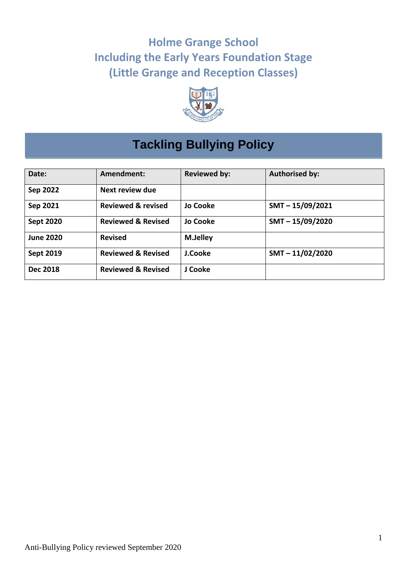# **Holme Grange School Including the Early Years Foundation Stage (Little Grange and Reception Classes)**



# **Tackling Bullying Policy**

| Date:            | Amendment:                    | <b>Reviewed by:</b> | <b>Authorised by:</b> |
|------------------|-------------------------------|---------------------|-----------------------|
| Sep 2022         | Next review due               |                     |                       |
| Sep 2021         | <b>Reviewed &amp; revised</b> | <b>Jo Cooke</b>     | $SMT - 15/09/2021$    |
| <b>Sept 2020</b> | <b>Reviewed &amp; Revised</b> | <b>Jo Cooke</b>     | $SMT - 15/09/2020$    |
| <b>June 2020</b> | <b>Revised</b>                | <b>M.Jelley</b>     |                       |
| <b>Sept 2019</b> | <b>Reviewed &amp; Revised</b> | J.Cooke             | $SMT - 11/02/2020$    |
| <b>Dec 2018</b>  | <b>Reviewed &amp; Revised</b> | J Cooke             |                       |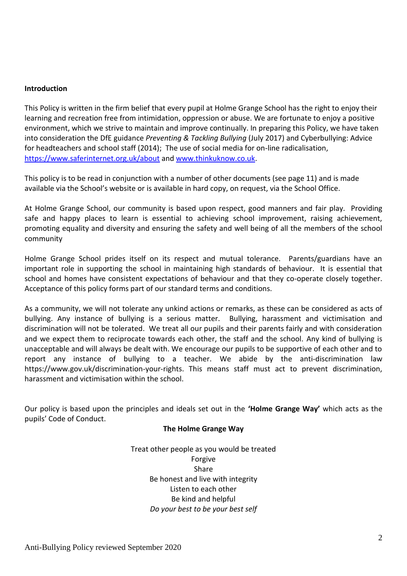#### **Introduction**

This Policy is written in the firm belief that every pupil at Holme Grange School has the right to enjoy their learning and recreation free from intimidation, oppression or abuse. We are fortunate to enjoy a positive environment, which we strive to maintain and improve continually. In preparing this Policy, we have taken into consideration the DfE guidance *Preventing & Tackling Bullying* (July 2017) and Cyberbullying: Advice for headteachers and school staff (2014); The use of social media for on-line radicalisation, <https://www.saferinternet.org.uk/about> and [www.thinkuknow.co.uk.](http://www.thinkuknow.co.uk/)

This policy is to be read in conjunction with a number of other documents (see page 11) and is made available via the School's website or is available in hard copy, on request, via the School Office.

At Holme Grange School, our community is based upon respect, good manners and fair play. Providing safe and happy places to learn is essential to achieving school improvement, raising achievement, promoting equality and diversity and ensuring the safety and well being of all the members of the school community

Holme Grange School prides itself on its respect and mutual tolerance. Parents/guardians have an important role in supporting the school in maintaining high standards of behaviour. It is essential that school and homes have consistent expectations of behaviour and that they co-operate closely together. Acceptance of this policy forms part of our standard terms and conditions.

As a community, we will not tolerate any unkind actions or remarks, as these can be considered as acts of bullying. Any instance of bullying is a serious matter. Bullying, harassment and victimisation and discrimination will not be tolerated. We treat all our pupils and their parents fairly and with consideration and we expect them to reciprocate towards each other, the staff and the school. Any kind of bullying is unacceptable and will always be dealt with. We encourage our pupils to be supportive of each other and to report any instance of bullying to a teacher. We abide by the anti-discrimination law https://www.gov.uk/discrimination-your-rights. This means staff must act to prevent discrimination, harassment and victimisation within the school.

Our policy is based upon the principles and ideals set out in the **'Holme Grange Way'** which acts as the pupils' Code of Conduct.

## **The Holme Grange Way**

Treat other people as you would be treated Forgive Share Be honest and live with integrity Listen to each other Be kind and helpful *Do your best to be your best self*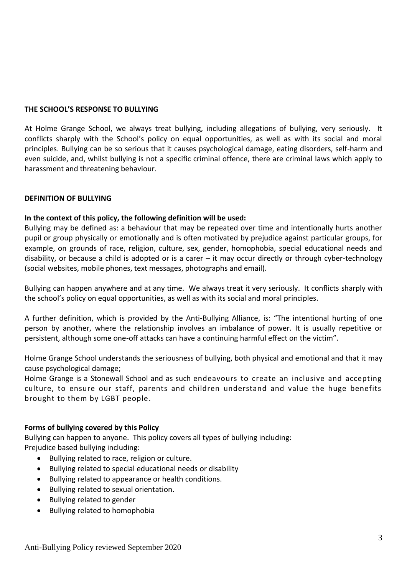# **THE SCHOOL'S RESPONSE TO BULLYING**

At Holme Grange School, we always treat bullying, including allegations of bullying, very seriously. It conflicts sharply with the School's policy on equal opportunities, as well as with its social and moral principles. Bullying can be so serious that it causes psychological damage, eating disorders, self-harm and even suicide, and, whilst bullying is not a specific criminal offence, there are criminal laws which apply to harassment and threatening behaviour.

# **DEFINITION OF BULLYING**

# **In the context of this policy, the following definition will be used:**

Bullying may be defined as: a behaviour that may be repeated over time and intentionally hurts another pupil or group physically or emotionally and is often motivated by prejudice against particular groups, for example, on grounds of race, religion, culture, sex, gender, homophobia, special educational needs and disability, or because a child is adopted or is a carer – it may occur directly or through cyber-technology (social websites, mobile phones, text messages, photographs and email).

Bullying can happen anywhere and at any time. We always treat it very seriously. It conflicts sharply with the school's policy on equal opportunities, as well as with its social and moral principles.

A further definition, which is provided by the Anti-Bullying Alliance, is: "The intentional hurting of one person by another, where the relationship involves an imbalance of power. It is usually repetitive or persistent, although some one-off attacks can have a continuing harmful effect on the victim".

Holme Grange School understands the seriousness of bullying, both physical and emotional and that it may cause psychological damage;

Holme Grange is a Stonewall School and as such endeavours to create an inclusive and accepting culture, to ensure our staff, parents and children understand and value the huge benefits brought to them by LGBT people.

## **Forms of bullying covered by this Policy**

Bullying can happen to anyone.This policy covers all types of bullying including: Prejudice based bullying including:

- Bullying related to race, religion or culture.
- Bullying related to special educational needs or disability
- Bullying related to appearance or health conditions.
- Bullying related to sexual orientation.
- Bullying related to gender
- Bullying related to homophobia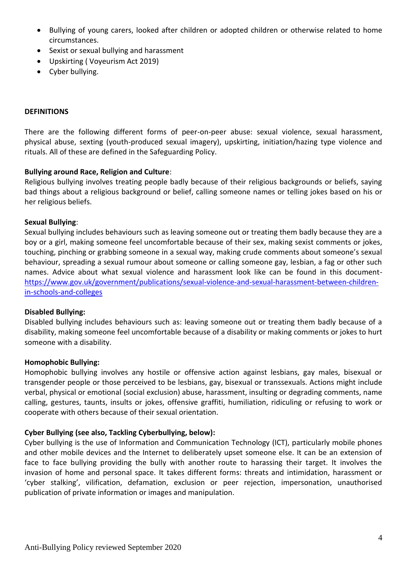- Bullying of young carers, looked after children or adopted children or otherwise related to home circumstances.
- Sexist or sexual bullying and harassment
- Upskirting ( Voyeurism Act 2019)
- Cyber bullying.

#### **DEFINITIONS**

There are the following different forms of peer-on-peer abuse: sexual violence, sexual harassment, physical abuse, sexting (youth-produced sexual imagery), upskirting, initiation/hazing type violence and rituals. All of these are defined in the Safeguarding Policy.

## **Bullying around Race, Religion and Culture**:

Religious bullying involves treating people badly because of their religious backgrounds or beliefs, saying bad things about a religious background or belief, calling someone names or telling jokes based on his or her religious beliefs.

#### **Sexual Bullying**:

Sexual bullying includes behaviours such as leaving someone out or treating them badly because they are a boy or a girl, making someone feel uncomfortable because of their sex, making sexist comments or jokes, touching, pinching or grabbing someone in a sexual way, making crude comments about someone's sexual behaviour, spreading a sexual rumour about someone or calling someone gay, lesbian, a fag or other such names. Advice about what sexual violence and harassment look like can be found in this document[https://www.gov.uk/government/publications/sexual-violence-and-sexual-harassment-between-children](https://www.gov.uk/government/publications/sexual-violence-and-sexual-harassment-between-children-in-schools-and-colleges)[in-schools-and-colleges](https://www.gov.uk/government/publications/sexual-violence-and-sexual-harassment-between-children-in-schools-and-colleges)

#### **Disabled Bullying:**

Disabled bullying includes behaviours such as: leaving someone out or treating them badly because of a disability, making someone feel uncomfortable because of a disability or making comments or jokes to hurt someone with a disability.

#### **Homophobic Bullying:**

Homophobic bullying involves any hostile or offensive action against lesbians, gay males, bisexual or transgender people or those perceived to be lesbians, gay, bisexual or transsexuals. Actions might include verbal, physical or emotional (social exclusion) abuse, harassment, insulting or degrading comments, name calling, gestures, taunts, insults or jokes, offensive graffiti, humiliation, ridiculing or refusing to work or cooperate with others because of their sexual orientation.

## **Cyber Bullying (see also, Tackling Cyberbullying, below):**

Cyber bullying is the use of Information and Communication Technology (ICT), particularly mobile phones and other mobile devices and the Internet to deliberately upset someone else. It can be an extension of face to face bullying providing the bully with another route to harassing their target. It involves the invasion of home and personal space. It takes different forms: threats and intimidation, harassment or 'cyber stalking', vilification, defamation, exclusion or peer rejection, impersonation, unauthorised publication of private information or images and manipulation.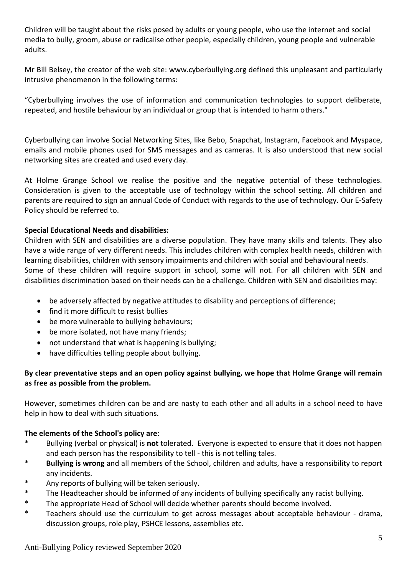Children will be taught about the risks posed by adults or young people, who use the internet and social media to bully, groom, abuse or radicalise other people, especially children, young people and vulnerable adults.

Mr Bill Belsey, the creator of the web site: www.cyberbullying.org defined this unpleasant and particularly intrusive phenomenon in the following terms:

"Cyberbullying involves the use of information and communication technologies to support deliberate, repeated, and hostile behaviour by an individual or group that is intended to harm others."

Cyberbullying can involve Social Networking Sites, like Bebo, Snapchat, Instagram, Facebook and Myspace, emails and mobile phones used for SMS messages and as cameras. It is also understood that new social networking sites are created and used every day.

At Holme Grange School we realise the positive and the negative potential of these technologies. Consideration is given to the acceptable use of technology within the school setting. All children and parents are required to sign an annual Code of Conduct with regards to the use of technology. Our E-Safety Policy should be referred to.

# **Special Educational Needs and disabilities:**

Children with SEN and disabilities are a diverse population. They have many skills and talents. They also have a wide range of very different needs. This includes children with complex health needs, children with learning disabilities, children with sensory impairments and children with social and behavioural needs. Some of these children will require support in school, some will not. For all children with SEN and disabilities discrimination based on their needs can be a challenge. Children with SEN and disabilities may:

- be adversely affected by negative attitudes to disability and perceptions of difference;
- find it more difficult to resist bullies
- be more vulnerable to bullying behaviours;
- be more isolated, not have many friends;
- not understand that what is happening is bullying;
- have difficulties telling people about bullying.

# **By clear preventative steps and an open policy against bullying, we hope that Holme Grange will remain as free as possible from the problem.**

However, sometimes children can be and are nasty to each other and all adults in a school need to have help in how to deal with such situations.

## **The elements of the School's policy are**:

- \* Bullying (verbal or physical) is **not** tolerated. Everyone is expected to ensure that it does not happen and each person has the responsibility to tell - this is not telling tales.
- \* **Bullying is wrong** and all members of the School, children and adults, have a responsibility to report any incidents.
- Any reports of bullying will be taken seriously.
- \* The Headteacher should be informed of any incidents of bullying specifically any racist bullying.
- \* The appropriate Head of School will decide whether parents should become involved.
- \* Teachers should use the curriculum to get across messages about acceptable behaviour drama, discussion groups, role play, PSHCE lessons, assemblies etc.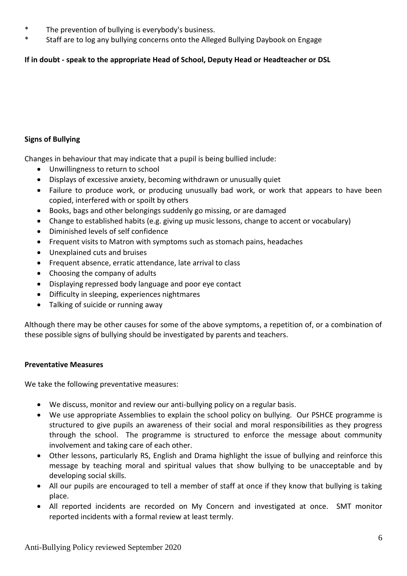- \* The prevention of bullying is everybody's business.
- \* Staff are to log any bullying concerns onto the Alleged Bullying Daybook on Engage

# **If in doubt - speak to the appropriate Head of School, Deputy Head or Headteacher or DSL**

# **Signs of Bullying**

Changes in behaviour that may indicate that a pupil is being bullied include:

- Unwillingness to return to school
- Displays of excessive anxiety, becoming withdrawn or unusually quiet
- Failure to produce work, or producing unusually bad work, or work that appears to have been copied, interfered with or spoilt by others
- Books, bags and other belongings suddenly go missing, or are damaged
- Change to established habits (e.g. giving up music lessons, change to accent or vocabulary)
- Diminished levels of self confidence
- Frequent visits to Matron with symptoms such as stomach pains, headaches
- Unexplained cuts and bruises
- Frequent absence, erratic attendance, late arrival to class
- Choosing the company of adults
- Displaying repressed body language and poor eye contact
- Difficulty in sleeping, experiences nightmares
- Talking of suicide or running away

Although there may be other causes for some of the above symptoms, a repetition of, or a combination of these possible signs of bullying should be investigated by parents and teachers.

# **Preventative Measures**

We take the following preventative measures:

- We discuss, monitor and review our anti-bullying policy on a regular basis.
- We use appropriate Assemblies to explain the school policy on bullying. Our PSHCE programme is structured to give pupils an awareness of their social and moral responsibilities as they progress through the school. The programme is structured to enforce the message about community involvement and taking care of each other.
- Other lessons, particularly RS, English and Drama highlight the issue of bullying and reinforce this message by teaching moral and spiritual values that show bullying to be unacceptable and by developing social skills.
- All our pupils are encouraged to tell a member of staff at once if they know that bullying is taking place.
- All reported incidents are recorded on My Concern and investigated at once. SMT monitor reported incidents with a formal review at least termly.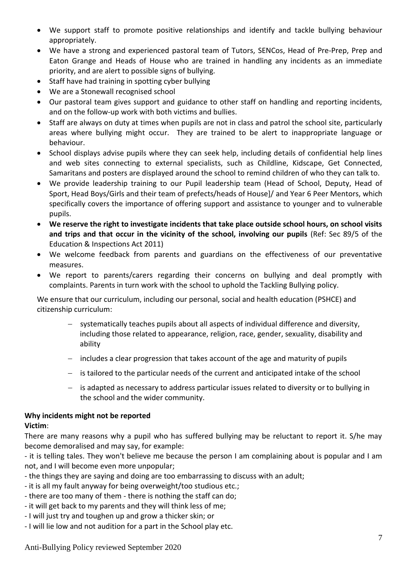- We support staff to promote positive relationships and identify and tackle bullying behaviour appropriately.
- We have a strong and experienced pastoral team of Tutors, SENCos, Head of Pre-Prep, Prep and Eaton Grange and Heads of House who are trained in handling any incidents as an immediate priority, and are alert to possible signs of bullying.
- Staff have had training in spotting cyber bullying
- We are a Stonewall recognised school
- Our pastoral team gives support and guidance to other staff on handling and reporting incidents, and on the follow-up work with both victims and bullies.
- Staff are always on duty at times when pupils are not in class and patrol the school site, particularly areas where bullying might occur. They are trained to be alert to inappropriate language or behaviour.
- School displays advise pupils where they can seek help, including details of confidential help lines and web sites connecting to external specialists, such as Childline, Kidscape, Get Connected, Samaritans and posters are displayed around the school to remind children of who they can talk to.
- We provide leadership training to our Pupil leadership team (Head of School, Deputy, Head of Sport, Head Boys/Girls and their team of prefects/heads of House]/ and Year 6 Peer Mentors, which specifically covers the importance of offering support and assistance to younger and to vulnerable pupils.
- **We reserve the right to investigate incidents that take place outside school hours, on school visits and trips and that occur in the vicinity of the school, involving our pupils** (Ref: Sec 89/5 of the Education & Inspections Act 2011)
- We welcome feedback from parents and guardians on the effectiveness of our preventative measures.
- We report to parents/carers regarding their concerns on bullying and deal promptly with complaints. Parents in turn work with the school to uphold the Tackling Bullying policy.

We ensure that our curriculum, including our personal, social and health education (PSHCE) and citizenship curriculum:

- − systematically teaches pupils about all aspects of individual difference and diversity, including those related to appearance, religion, race, gender, sexuality, disability and ability
- − includes a clear progression that takes account of the age and maturity of pupils
- − is tailored to the particular needs of the current and anticipated intake of the school
- is adapted as necessary to address particular issues related to diversity or to bullying in the school and the wider community.

# **Why incidents might not be reported**

# **Victim**:

There are many reasons why a pupil who has suffered bullying may be reluctant to report it. S/he may become demoralised and may say, for example:

- it is telling tales. They won't believe me because the person I am complaining about is popular and I am not, and I will become even more unpopular;

- the things they are saying and doing are too embarrassing to discuss with an adult;

- it is all my fault anyway for being overweight/too studious etc.;
- there are too many of them there is nothing the staff can do;
- it will get back to my parents and they will think less of me;
- I will just try and toughen up and grow a thicker skin; or
- I will lie low and not audition for a part in the School play etc.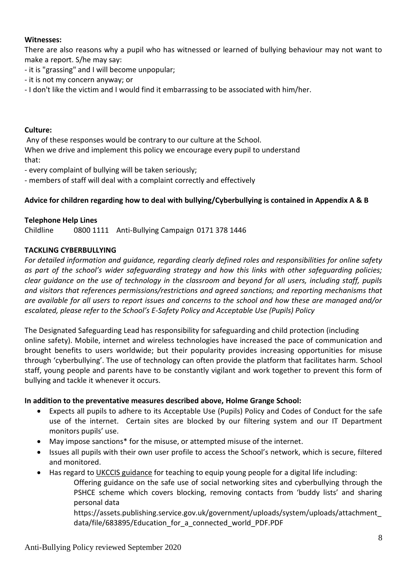# **Witnesses:**

There are also reasons why a pupil who has witnessed or learned of bullying behaviour may not want to make a report. S/he may say:

- it is "grassing" and I will become unpopular;
- it is not my concern anyway; or
- I don't like the victim and I would find it embarrassing to be associated with him/her.

# **Culture:**

Any of these responses would be contrary to our culture at the School. When we drive and implement this policy we encourage every pupil to understand that:

- every complaint of bullying will be taken seriously;
- members of staff will deal with a complaint correctly and effectively

# **Advice for children regarding how to deal with bullying/Cyberbullying is contained in Appendix A & B**

# **Telephone Help Lines**

Childline 0800 1111 Anti-Bullying Campaign 0171 378 1446

# **TACKLING CYBERBULLYING**

*For detailed information and guidance, regarding clearly defined roles and responsibilities for online safety as part of the school's wider safeguarding strategy and how this links with other safeguarding policies; clear guidance on the use of technology in the classroom and beyond for all users, including staff, pupils and visitors that references permissions/restrictions and agreed sanctions; and reporting mechanisms that are available for all users to report issues and concerns to the school and how these are managed and/or escalated, please refer to the School's E-Safety Policy and Acceptable Use (Pupils) Policy*

The Designated Safeguarding Lead has responsibility for safeguarding and child protection (including online safety). Mobile, internet and wireless technologies have increased the pace of communication and brought benefits to users worldwide; but their popularity provides increasing opportunities for misuse through 'cyberbullying'. The use of technology can often provide the platform that facilitates harm. School staff, young people and parents have to be constantly vigilant and work together to prevent this form of bullying and tackle it whenever it occurs.

## **In addition to the preventative measures described above, Holme Grange School:**

- Expects all pupils to adhere to its Acceptable Use (Pupils) Policy and Codes of Conduct for the safe use of the internet. Certain sites are blocked by our filtering system and our IT Department monitors pupils' use.
- May impose sanctions\* for the misuse, or attempted misuse of the internet.
- Issues all pupils with their own user profile to access the School's network, which is secure, filtered and monitored.
- Has regard to [UKCCIS guidance](https://assets.publishing.service.gov.uk/government/uploads/system/uploads/attachment_data/file/683895/Education_for_a_connected_world_PDF.PDF) for teaching to equip young people for a digital life including:

Offering guidance on the safe use of social networking sites and cyberbullying through the PSHCE scheme which covers blocking, removing contacts from 'buddy lists' and sharing personal data

https://assets.publishing.service.gov.uk/government/uploads/system/uploads/attachment\_ data/file/683895/Education\_for\_a\_connected\_world\_PDF.PDF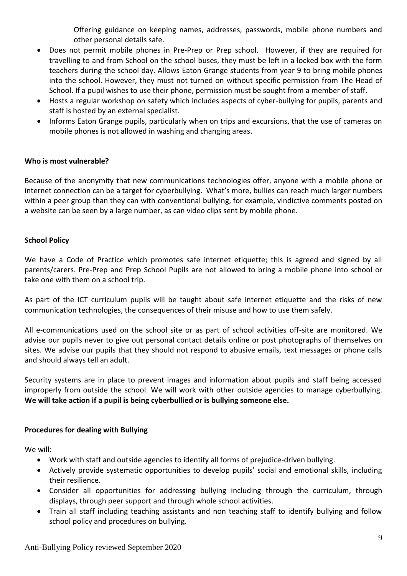Offering guidance on keeping names, addresses, passwords, mobile phone numbers and other personal details safe.

- Does not permit mobile phones in Pre-Prep or Prep school. However, if they are required for travelling to and from School on the school buses, they must be left in a locked box with the form teachers during the school day. Allows Eaton Grange students from year 9 to bring mobile phones into the school. However, they must not turned on without specific permission from The Head of School. If a pupil wishes to use their phone, permission must be sought from a member of staff.
- Hosts a regular workshop on safety which includes aspects of cyber-bullying for pupils, parents and staff is hosted by an external specialist.
- Informs Eaton Grange pupils, particularly when on trips and excursions, that the use of cameras on mobile phones is not allowed in washing and changing areas.

# **Who is most vulnerable?**

Because of the anonymity that new communications technologies offer, anyone with a mobile phone or internet connection can be a target for cyberbullying. What's more, bullies can reach much larger numbers within a peer group than they can with conventional bullying, for example, vindictive comments posted on a website can be seen by a large number, as can video clips sent by mobile phone.

# **School Policy**

We have a Code of Practice which promotes safe internet etiquette; this is agreed and signed by all parents/carers. Pre-Prep and Prep School Pupils are not allowed to bring a mobile phone into school or take one with them on a school trip.

As part of the ICT curriculum pupils will be taught about safe internet etiquette and the risks of new communication technologies, the consequences of their misuse and how to use them safely.

All e-communications used on the school site or as part of school activities off-site are monitored. We advise our pupils never to give out personal contact details online or post photographs of themselves on sites. We advise our pupils that they should not respond to abusive emails, text messages or phone calls and should always tell an adult.

Security systems are in place to prevent images and information about pupils and staff being accessed improperly from outside the school. We will work with other outside agencies to manage cyberbullying. **We will take action if a pupil is being cyberbullied or is bullying someone else.**

# **Procedures for dealing with Bullying**

We will:

- Work with staff and outside agencies to identify all forms of prejudice-driven bullying.
- Actively provide systematic opportunities to develop pupils' social and emotional skills, including their resilience.
- Consider all opportunities for addressing bullying including through the curriculum, through displays, through peer support and through whole school activities.
- Train all staff including teaching assistants and non teaching staff to identify bullying and follow school policy and procedures on bullying.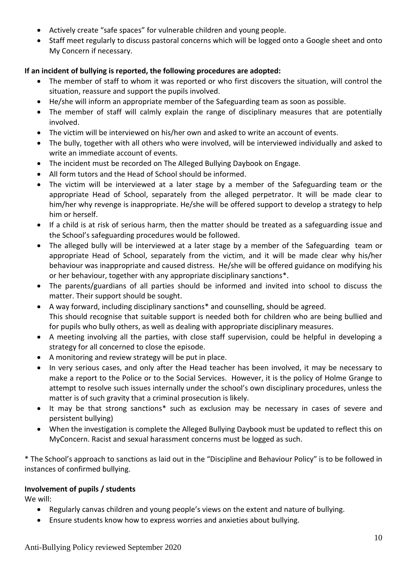- Actively create "safe spaces" for vulnerable children and young people.
- Staff meet regularly to discuss pastoral concerns which will be logged onto a Google sheet and onto My Concern if necessary.

# **If an incident of bullying is reported, the following procedures are adopted:**

- The member of staff to whom it was reported or who first discovers the situation, will control the situation, reassure and support the pupils involved.
- He/she will inform an appropriate member of the Safeguarding team as soon as possible.
- The member of staff will calmly explain the range of disciplinary measures that are potentially involved.
- The victim will be interviewed on his/her own and asked to write an account of events.
- The bully, together with all others who were involved, will be interviewed individually and asked to write an immediate account of events.
- The incident must be recorded on The Alleged Bullying Daybook on Engage.
- All form tutors and the Head of School should be informed.
- The victim will be interviewed at a later stage by a member of the Safeguarding team or the appropriate Head of School, separately from the alleged perpetrator. It will be made clear to him/her why revenge is inappropriate. He/she will be offered support to develop a strategy to help him or herself.
- If a child is at risk of serious harm, then the matter should be treated as a safeguarding issue and the School's safeguarding procedures would be followed.
- The alleged bully will be interviewed at a later stage by a member of the Safeguarding team or appropriate Head of School, separately from the victim, and it will be made clear why his/her behaviour was inappropriate and caused distress. He/she will be offered guidance on modifying his or her behaviour, together with any appropriate disciplinary sanctions\*.
- The parents/guardians of all parties should be informed and invited into school to discuss the matter. Their support should be sought.
- A way forward, including disciplinary sanctions\* and counselling, should be agreed. This should recognise that suitable support is needed both for children who are being bullied and for pupils who bully others, as well as dealing with appropriate disciplinary measures.
- A meeting involving all the parties, with close staff supervision, could be helpful in developing a strategy for all concerned to close the episode.
- A monitoring and review strategy will be put in place.
- In very serious cases, and only after the Head teacher has been involved, it may be necessary to make a report to the Police or to the Social Services. However, it is the policy of Holme Grange to attempt to resolve such issues internally under the school's own disciplinary procedures, unless the matter is of such gravity that a criminal prosecution is likely.
- It may be that strong sanctions\* such as exclusion may be necessary in cases of severe and persistent bullying)
- When the investigation is complete the Alleged Bullying Daybook must be updated to reflect this on MyConcern. Racist and sexual harassment concerns must be logged as such.

\* The School's approach to sanctions as laid out in the "Discipline and Behaviour Policy" is to be followed in instances of confirmed bullying.

# **Involvement of pupils / students**

We will:

- Regularly canvas children and young people's views on the extent and nature of bullying.
- Ensure students know how to express worries and anxieties about bullying.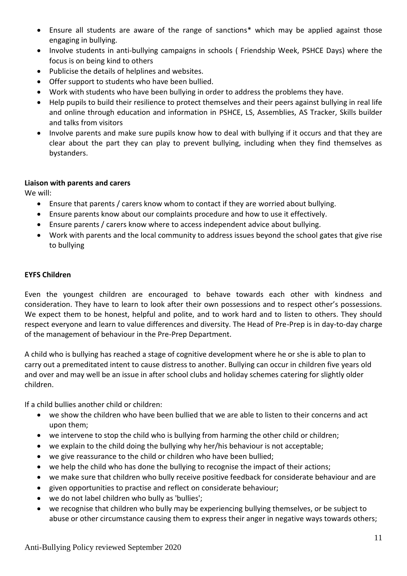- Ensure all students are aware of the range of sanctions\* which may be applied against those engaging in bullying.
- Involve students in anti-bullying campaigns in schools ( Friendship Week, PSHCE Days) where the focus is on being kind to others
- Publicise the details of helplines and websites.
- Offer support to students who have been bullied.
- Work with students who have been bullying in order to address the problems they have.
- Help pupils to build their resilience to protect themselves and their peers against bullying in real life and online through education and information in PSHCE, LS, Assemblies, AS Tracker, Skills builder and talks from visitors
- Involve parents and make sure pupils know how to deal with bullying if it occurs and that they are clear about the part they can play to prevent bullying, including when they find themselves as bystanders.

# **Liaison with parents and carers**

We will:

- Ensure that parents / carers know whom to contact if they are worried about bullying.
- Ensure parents know about our complaints procedure and how to use it effectively.
- Ensure parents / carers know where to access independent advice about bullying.
- Work with parents and the local community to address issues beyond the school gates that give rise to bullying

# **EYFS Children**

Even the youngest children are encouraged to behave towards each other with kindness and consideration. They have to learn to look after their own possessions and to respect other's possessions. We expect them to be honest, helpful and polite, and to work hard and to listen to others. They should respect everyone and learn to value differences and diversity. The Head of Pre-Prep is in day-to-day charge of the management of behaviour in the Pre-Prep Department.

A child who is bullying has reached a stage of cognitive development where he or she is able to plan to carry out a premeditated intent to cause distress to another. Bullying can occur in children five years old and over and may well be an issue in after school clubs and holiday schemes catering for slightly older children.

If a child bullies another child or children:

- we show the children who have been bullied that we are able to listen to their concerns and act upon them;
- we intervene to stop the child who is bullying from harming the other child or children;
- we explain to the child doing the bullying why her/his behaviour is not acceptable;
- we give reassurance to the child or children who have been bullied;
- we help the child who has done the bullying to recognise the impact of their actions;
- we make sure that children who bully receive positive feedback for considerate behaviour and are
- given opportunities to practise and reflect on considerate behaviour;
- we do not label children who bully as 'bullies';
- we recognise that children who bully may be experiencing bullying themselves, or be subject to abuse or other circumstance causing them to express their anger in negative ways towards others;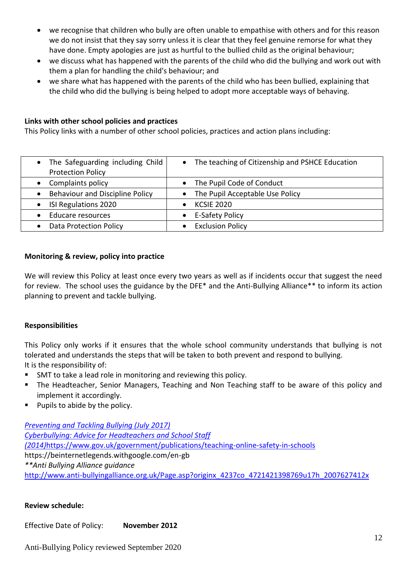- we recognise that children who bully are often unable to empathise with others and for this reason we do not insist that they say sorry unless it is clear that they feel genuine remorse for what they have done. Empty apologies are just as hurtful to the bullied child as the original behaviour;
- we discuss what has happened with the parents of the child who did the bullying and work out with them a plan for handling the child's behaviour; and
- we share what has happened with the parents of the child who has been bullied, explaining that the child who did the bullying is being helped to adopt more acceptable ways of behaving.

# **Links with other school policies and practices**

This Policy links with a number of other school policies, practices and action plans including:

| • The Safeguarding including Child<br><b>Protection Policy</b> | • The teaching of Citizenship and PSHCE Education |
|----------------------------------------------------------------|---------------------------------------------------|
| Complaints policy                                              | • The Pupil Code of Conduct                       |
| Behaviour and Discipline Policy                                | • The Pupil Acceptable Use Policy                 |
| ISI Regulations 2020                                           | <b>KCSIE 2020</b>                                 |
| Educare resources                                              | E-Safety Policy                                   |
| <b>Data Protection Policy</b>                                  | <b>Exclusion Policy</b>                           |

# **Monitoring & review, policy into practice**

We will review this Policy at least once every two years as well as if incidents occur that suggest the need for review. The school uses the guidance by the DFE\* and the Anti-Bullying Alliance\*\* to inform its action planning to prevent and tackle bullying.

## **Responsibilities**

This Policy only works if it ensures that the whole school community understands that bullying is not tolerated and understands the steps that will be taken to both prevent and respond to bullying. It is the responsibility of:

- SMT to take a lead role in monitoring and reviewing this policy.
- The Headteacher, Senior Managers, Teaching and Non Teaching staff to be aware of this policy and implement it accordingly.
- Pupils to abide by the policy.

*[Preventing and Tackling Bullying \(July 2017\)](https://assets.publishing.service.gov.uk/government/uploads/system/uploads/attachment_data/file/623895/Preventing_and_tackling_bullying_advice.pdf) [Cyberbullying: Advice for Headteachers and School Staff](https://assets.publishing.service.gov.uk/government/uploads/system/uploads/attachment_data/file/374850/Cyberbullying_Advice_for_Headteachers_and_School_Staff_121114.pdf)  [\(2014\)](https://assets.publishing.service.gov.uk/government/uploads/system/uploads/attachment_data/file/374850/Cyberbullying_Advice_for_Headteachers_and_School_Staff_121114.pdf)*<https://www.gov.uk/government/publications/teaching-online-safety-in-schools> https://beinternetlegends.withgoogle.com/en-gb *\*\*Anti Bullying Alliance guidance* [http://www.anti-bullyingalliance.org.uk/Page.asp?originx\\_4237co\\_4721421398769u17h\\_2007627412x](http://www.anti-bullyingalliance.org.uk/Page.asp?originx_4237co_4721421398769u17h_2007627412x)

## **Review schedule:**

Effective Date of Policy: **November 2012**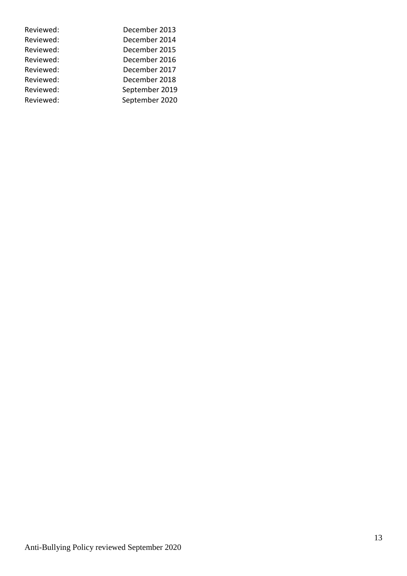| Reviewed: | December 2013  |
|-----------|----------------|
| Reviewed: | December 2014  |
| Reviewed: | December 2015  |
| Reviewed: | December 2016  |
| Reviewed: | December 2017  |
| Reviewed: | December 2018  |
| Reviewed: | September 2019 |
| Reviewed: | September 2020 |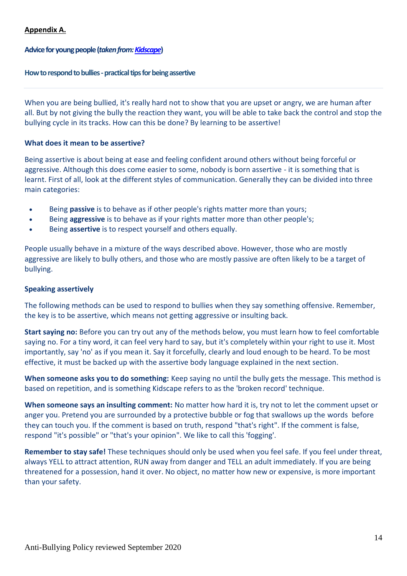# **Appendix A.**

# **Advice for young people(***taken from[: Kidscape](https://www.kidscape.org.uk/advice/advice-for-young-people/)***)**

#### **How to respond to bullies - practical tips for being assertive**

When you are being bullied, it's really hard not to show that you are upset or angry, we are human after all. But by not giving the bully the reaction they want, you will be able to take back the control and stop the bullying cycle in its tracks. How can this be done? By learning to be assertive!

## **What does it mean to be assertive?**

Being assertive is about being at ease and feeling confident around others without being forceful or aggressive. Although this does come easier to some, nobody is born assertive - it is something that is learnt. First of all, look at the different styles of communication. Generally they can be divided into three main categories:

- Being **passive** is to behave as if other people's rights matter more than yours;
- Being **aggressive** is to behave as if your rights matter more than other people's;
- Being **assertive** is to respect yourself and others equally.

People usually behave in a mixture of the ways described above. However, those who are mostly aggressive are likely to bully others, and those who are mostly passive are often likely to be a target of bullying.

## **Speaking assertively**

The following methods can be used to respond to bullies when they say something offensive. Remember, the key is to be assertive, which means not getting aggressive or insulting back.

**Start saying no:** Before you can try out any of the methods below, you must learn how to feel comfortable saying no. For a tiny word, it can feel very hard to say, but it's completely within your right to use it. Most importantly, say 'no' as if you mean it. Say it forcefully, clearly and loud enough to be heard. To be most effective, it must be backed up with the assertive body language explained in the next section.

**When someone asks you to do something:** Keep saying no until the bully gets the message. This method is based on repetition, and is something Kidscape refers to as the 'broken record' technique.

**When someone says an insulting comment:** No matter how hard it is, try not to let the comment upset or anger you. Pretend you are surrounded by a protective bubble or fog that swallows up the words before they can touch you. If the comment is based on truth, respond "that's right". If the comment is false, respond "it's possible" or "that's your opinion". We like to call this 'fogging'.

**Remember to stay safe!** These techniques should only be used when you feel safe. If you feel under threat, always YELL to attract attention, RUN away from danger and TELL an adult immediately. If you are being threatened for a possession, hand it over. No object, no matter how new or expensive, is more important than your safety.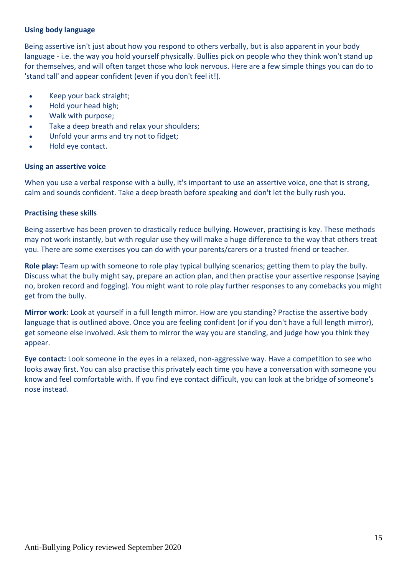# **Using body language**

Being assertive isn't just about how you respond to others verbally, but is also apparent in your body language - i.e. the way you hold yourself physically. Bullies pick on people who they think won't stand up for themselves, and will often target those who look nervous. Here are a few simple things you can do to 'stand tall' and appear confident (even if you don't feel it!).

- Keep your back straight;
- Hold your head high;
- Walk with purpose;
- Take a deep breath and relax your shoulders;
- Unfold your arms and try not to fidget;
- Hold eye contact.

# **Using an assertive voice**

When you use a verbal response with a bully, it's important to use an assertive voice, one that is strong, calm and sounds confident. Take a deep breath before speaking and don't let the bully rush you.

# **Practising these skills**

Being assertive has been proven to drastically reduce bullying. However, practising is key. These methods may not work instantly, but with regular use they will make a huge difference to the way that others treat you. There are some exercises you can do with your parents/carers or a trusted friend or teacher.

**Role play:** Team up with someone to role play typical bullying scenarios; getting them to play the bully. Discuss what the bully might say, prepare an action plan, and then practise your assertive response (saying no, broken record and fogging). You might want to role play further responses to any comebacks you might get from the bully.

**Mirror work:** Look at yourself in a full length mirror. How are you standing? Practise the assertive body language that is outlined above. Once you are feeling confident (or if you don't have a full length mirror), get someone else involved. Ask them to mirror the way you are standing, and judge how you think they appear.

**Eye contact:** Look someone in the eyes in a relaxed, non-aggressive way. Have a competition to see who looks away first. You can also practise this privately each time you have a conversation with someone you know and feel comfortable with. If you find eye contact difficult, you can look at the bridge of someone's nose instead.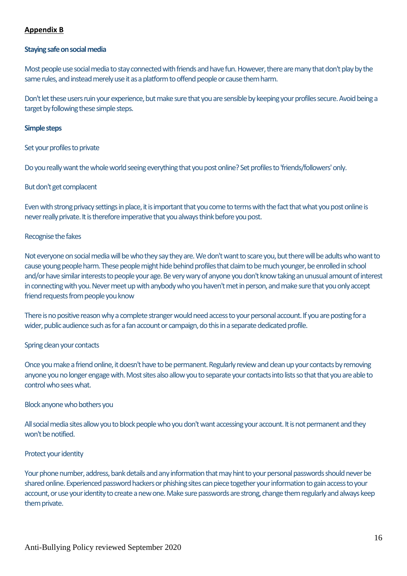# **Appendix B**

#### **Staying safe on social media**

Most people use social media to stay connected with friends and have fun. However, there are many that don't play by the same rules, and instead merely use it as a platform to offend people or cause them harm.

Don't let these users ruin your experience, but make sure that you are sensible by keeping your profiles secure. Avoid being a target by following these simple steps.

#### **Simple steps**

Set your profiles to private

Do you really want the whole world seeing everything that you post online? Set profiles to 'friends/followers' only.

#### But don't get complacent

Even with strong privacy settings in place, it is important that you come to terms with the fact that what you post online is never really private. It is therefore imperative that you always think before you post.

#### Recognise the fakes

Not everyone on social media will be who they say they are. We don't want to scare you, but there will be adults who want to cause young people harm. These people might hide behind profiles that claim to be much younger, be enrolled in school and/or have similar interests to people your age. Be very wary of anyone you don't know taking an unusual amount of interest in connecting with you. Never meet up with anybody who you haven't met in person, and make sure that you only accept friend requests from people you know

There is no positive reason why a complete stranger would need access to your personal account. If you are posting for a wider, public audience such as for a fan account or campaign, do this in a separate dedicated profile.

## Spring clean your contacts

Once you make a friend online, it doesn't have to be permanent. Regularly review and clean up your contacts by removing anyone you no longer engage with. Most sites also allow you to separate your contacts into lists so that that you are able to control who sees what.

## Block anyone who bothers you

All social media sites allow you to block people who you don't want accessing your account. It is not permanent and they won't be notified.

## Protect your identity

Your phone number, address, bank details and any information that may hint to your personal passwords should never be shared online. Experienced password hackers or phishing sites can piece together your information to gain access to your account, or use your identity to create a new one. Make sure passwords are strong, change them regularly and always keep them private.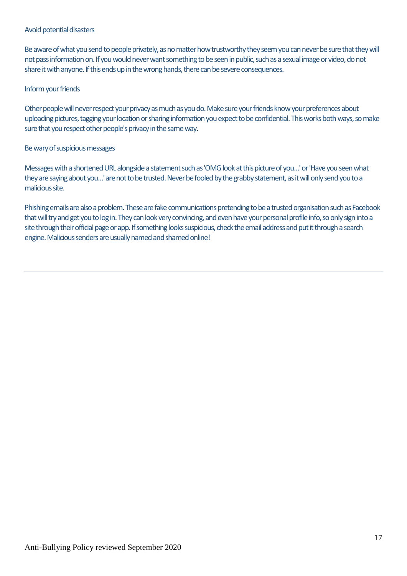#### Avoid potential disasters

Be aware of what you send to people privately, as no matter how trustworthy they seem you can never be sure that they will not pass information on. If you would never want something to be seen in public, such as a sexual image or video, do not share it with anyone. If this ends up in the wrong hands, there can be severe consequences.

## Inform your friends

Other people will never respect your privacy as much as you do. Make sure your friends know your preferences about uploading pictures, tagging your location or sharing information you expect to be confidential. This works both ways, so make sure that you respect other people's privacy in the same way.

## Be wary of suspicious messages

Messages with a shortened URL alongside a statement such as 'OMG look at this picture of you...' or 'Have you seen what they are saying about you…' are not to be trusted. Never be fooled by the grabby statement, as it will only send you to a malicious site.

Phishing emails are also a problem. These are fake communications pretending to be a trusted organisation such as Facebook that will try and get you to log in. They can look very convincing, and even have your personal profile info, so only sign into a site through their official page or app. If something looks suspicious, check the email address and put it through a search engine. Malicious senders are usually named and shamed online!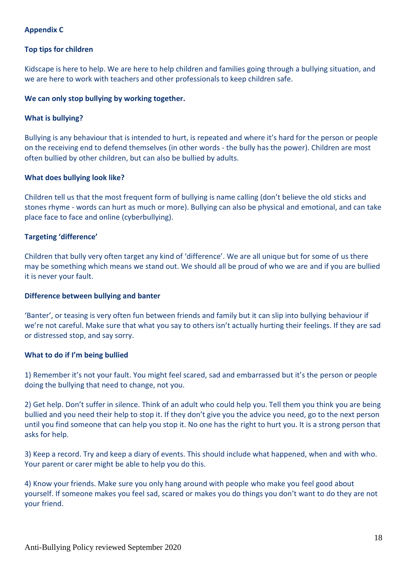# **Appendix C**

## **Top tips for children**

Kidscape is here to help. We are here to help children and families going through a bullying situation, and we are here to work with teachers and other professionals to keep children safe.

## **We can only stop bullying by working together.**

#### **What is bullying?**

Bullying is any behaviour that is intended to hurt, is repeated and where it's hard for the person or people on the receiving end to defend themselves (in other words - the bully has the power). Children are most often bullied by other children, but can also be bullied by adults.

#### **What does bullying look like?**

Children tell us that the most frequent form of bullying is name calling (don't believe the old sticks and stones rhyme - words can hurt as much or more). Bullying can also be physical and emotional, and can take place face to face and online (cyberbullying).

#### **Targeting 'difference'**

Children that bully very often target any kind of 'difference'. We are all unique but for some of us there may be something which means we stand out. We should all be proud of who we are and if you are bullied it is never your fault.

#### **Difference between bullying and banter**

'Banter', or teasing is very often fun between friends and family but it can slip into bullying behaviour if we're not careful. Make sure that what you say to others isn't actually hurting their feelings. If they are sad or distressed stop, and say sorry.

#### **What to do if I'm being bullied**

1) Remember it's not your fault. You might feel scared, sad and embarrassed but it's the person or people doing the bullying that need to change, not you.

2) Get help. Don't suffer in silence. Think of an adult who could help you. Tell them you think you are being bullied and you need their help to stop it. If they don't give you the advice you need, go to the next person until you find someone that can help you stop it. No one has the right to hurt you. It is a strong person that asks for help.

3) Keep a record. Try and keep a diary of events. This should include what happened, when and with who. Your parent or carer might be able to help you do this.

4) Know your friends. Make sure you only hang around with people who make you feel good about yourself. If someone makes you feel sad, scared or makes you do things you don't want to do they are not your friend.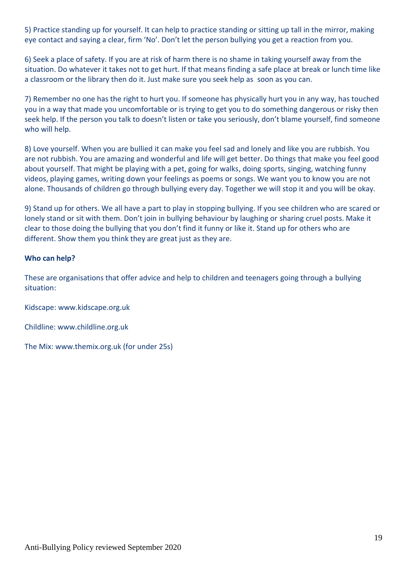5) Practice standing up for yourself. It can help to practice standing or sitting up tall in the mirror, making eye contact and saying a clear, firm 'No'. Don't let the person bullying you get a reaction from you.

6) Seek a place of safety. If you are at risk of harm there is no shame in taking yourself away from the situation. Do whatever it takes not to get hurt. If that means finding a safe place at break or lunch time like a classroom or the library then do it. Just make sure you seek help as soon as you can.

7) Remember no one has the right to hurt you. If someone has physically hurt you in any way, has touched you in a way that made you uncomfortable or is trying to get you to do something dangerous or risky then seek help. If the person you talk to doesn't listen or take you seriously, don't blame yourself, find someone who will help.

8) Love yourself. When you are bullied it can make you feel sad and lonely and like you are rubbish. You are not rubbish. You are amazing and wonderful and life will get better. Do things that make you feel good about yourself. That might be playing with a pet, going for walks, doing sports, singing, watching funny videos, playing games, writing down your feelings as poems or songs. We want you to know you are not alone. Thousands of children go through bullying every day. Together we will stop it and you will be okay.

9) Stand up for others. We all have a part to play in stopping bullying. If you see children who are scared or lonely stand or sit with them. Don't join in bullying behaviour by laughing or sharing cruel posts. Make it clear to those doing the bullying that you don't find it funny or like it. Stand up for others who are different. Show them you think they are great just as they are.

# **Who can help?**

These are organisations that offer advice and help to children and teenagers going through a bullying situation:

Kidscape: www.kidscape.org.uk

Childline: www.childline.org.uk

The Mix: www.themix.org.uk (for under 25s)